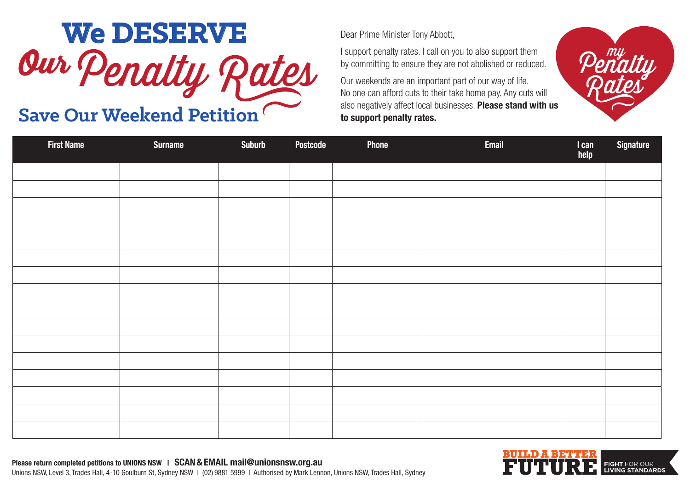

## Save Our Weekend Petition

Dear Prime Minister Tony Abbott,

I support penalty rates. I call on you to also support them by committing to ensure they are not abolished or reduced.

Our weekends are an important part of our way of life. No one can afford cuts to their take home pay. Any cuts will **to support penalty rates.**

| <b>First Name</b> | <b>Surname</b> | <b>Suburb</b> | Postcode | Phone | <b>Email</b> | I can<br>help | <b>Signature</b> |
|-------------------|----------------|---------------|----------|-------|--------------|---------------|------------------|
|                   |                |               |          |       |              |               |                  |
|                   |                |               |          |       |              |               |                  |
|                   |                |               |          |       |              |               |                  |
|                   |                |               |          |       |              |               |                  |
|                   |                |               |          |       |              |               |                  |
|                   |                |               |          |       |              |               |                  |
|                   |                |               |          |       |              |               |                  |
|                   |                |               |          |       |              |               |                  |
|                   |                |               |          |       |              |               |                  |
|                   |                |               |          |       |              |               |                  |
|                   |                |               |          |       |              |               |                  |
|                   |                |               |          |       |              |               |                  |
|                   |                |               |          |       |              |               |                  |
|                   |                |               |          |       |              |               |                  |
|                   |                |               |          |       |              |               |                  |
|                   |                |               |          |       |              |               |                  |